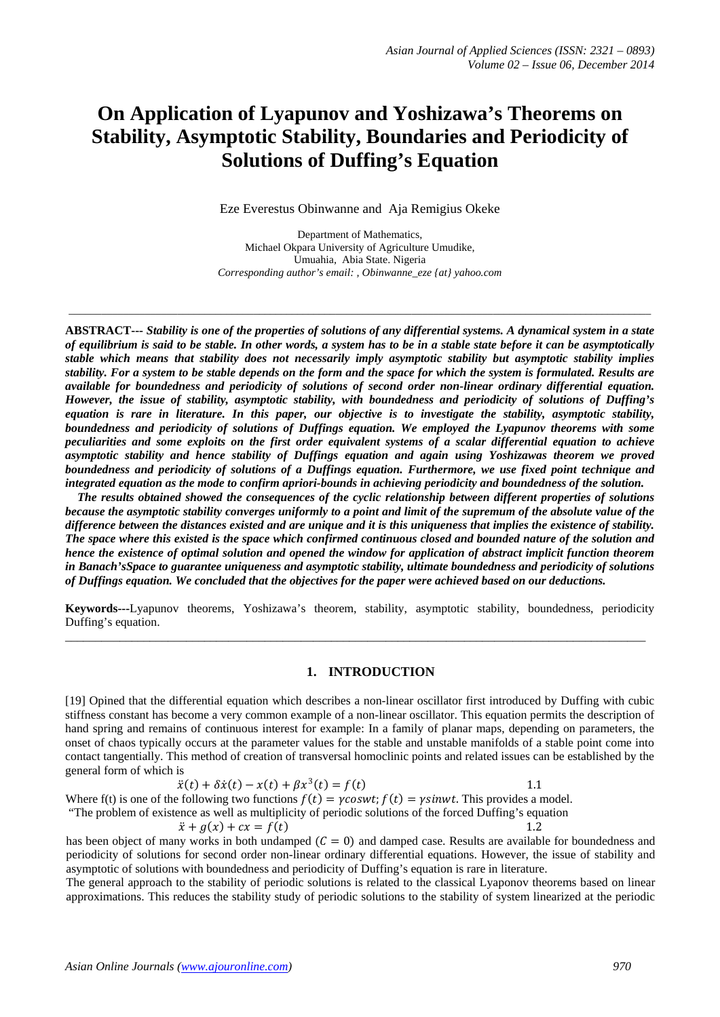# **On Application of Lyapunov and Yoshizawa's Theorems on Stability, Asymptotic Stability, Boundaries and Periodicity of Solutions of Duffing's Equation**

Eze Everestus Obinwanne and Aja Remigius Okeke

Department of Mathematics, Michael Okpara University of Agriculture Umudike, Umuahia, Abia State. Nigeria *Corresponding author's email: , Obinwanne\_eze {at} yahoo.com*

\_\_\_\_\_\_\_\_\_\_\_\_\_\_\_\_\_\_\_\_\_\_\_\_\_\_\_\_\_\_\_\_\_\_\_\_\_\_\_\_\_\_\_\_\_\_\_\_\_\_\_\_\_\_\_\_\_\_\_\_\_\_\_\_\_\_\_\_\_\_\_\_\_\_\_\_\_\_\_\_\_\_\_\_\_\_\_\_\_\_\_\_\_\_\_\_\_\_\_\_\_\_\_\_\_\_\_

**ABSTRACT---** *Stability is one of the properties of solutions of any differential systems. A dynamical system in a state of equilibrium is said to be stable. In other words, a system has to be in a stable state before it can be asymptotically stable which means that stability does not necessarily imply asymptotic stability but asymptotic stability implies stability. For a system to be stable depends on the form and the space for which the system is formulated. Results are available for boundedness and periodicity of solutions of second order non-linear ordinary differential equation. However, the issue of stability, asymptotic stability, with boundedness and periodicity of solutions of Duffing's equation is rare in literature. In this paper, our objective is to investigate the stability, asymptotic stability, boundedness and periodicity of solutions of Duffings equation. We employed the Lyapunov theorems with some peculiarities and some exploits on the first order equivalent systems of a scalar differential equation to achieve asymptotic stability and hence stability of Duffings equation and again using Yoshizawas theorem we proved boundedness and periodicity of solutions of a Duffings equation. Furthermore, we use fixed point technique and integrated equation as the mode to confirm apriori-bounds in achieving periodicity and boundedness of the solution.*

 *The results obtained showed the consequences of the cyclic relationship between different properties of solutions because the asymptotic stability converges uniformly to a point and limit of the supremum of the absolute value of the difference between the distances existed and are unique and it is this uniqueness that implies the existence of stability. The space where this existed is the space which confirmed continuous closed and bounded nature of the solution and hence the existence of optimal solution and opened the window for application of abstract implicit function theorem in Banach'sSpace to guarantee uniqueness and asymptotic stability, ultimate boundedness and periodicity of solutions of Duffings equation. We concluded that the objectives for the paper were achieved based on our deductions.*

**Keywords---**Lyapunov theorems, Yoshizawa's theorem, stability, asymptotic stability, boundedness, periodicity Duffing's equation.

\_\_\_\_\_\_\_\_\_\_\_\_\_\_\_\_\_\_\_\_\_\_\_\_\_\_\_\_\_\_\_\_\_\_\_\_\_\_\_\_\_\_\_\_\_\_\_\_\_\_\_\_\_\_\_\_\_\_\_\_\_\_\_\_\_\_\_\_\_\_\_\_\_\_\_\_\_\_\_\_\_\_\_\_\_\_\_\_\_\_\_\_\_\_\_\_

#### **1. INTRODUCTION**

[19] Opined that the differential equation which describes a non-linear oscillator first introduced by Duffing with cubic stiffness constant has become a very common example of a non-linear oscillator. This equation permits the description of hand spring and remains of continuous interest for example: In a family of planar maps, depending on parameters, the onset of chaos typically occurs at the parameter values for the stable and unstable manifolds of a stable point come into contact tangentially. This method of creation of transversal homoclinic points and related issues can be established by the general form of which is

$$
\ddot{x}(t) + \delta \dot{x}(t) - x(t) + \beta x^3(t) = f(t) \tag{1.1}
$$

Where f(t) is one of the following two functions  $f(t) = \gamma \cos wt$ ;  $f(t) = \gamma \sin wt$ . This provides a model.

"The problem of existence as well as multiplicity of periodic solutions of the forced Duffing's equation

 $\ddot{x} + a(x) + cx = f(t)$  1.2 has been object of many works in both undamped  $(C = 0)$  and damped case. Results are available for boundedness and periodicity of solutions for second order non-linear ordinary differential equations. However, the issue of stability and asymptotic of solutions with boundedness and periodicity of Duffing's equation is rare in literature.

The general approach to the stability of periodic solutions is related to the classical Lyaponov theorems based on linear approximations. This reduces the stability study of periodic solutions to the stability of system linearized at the periodic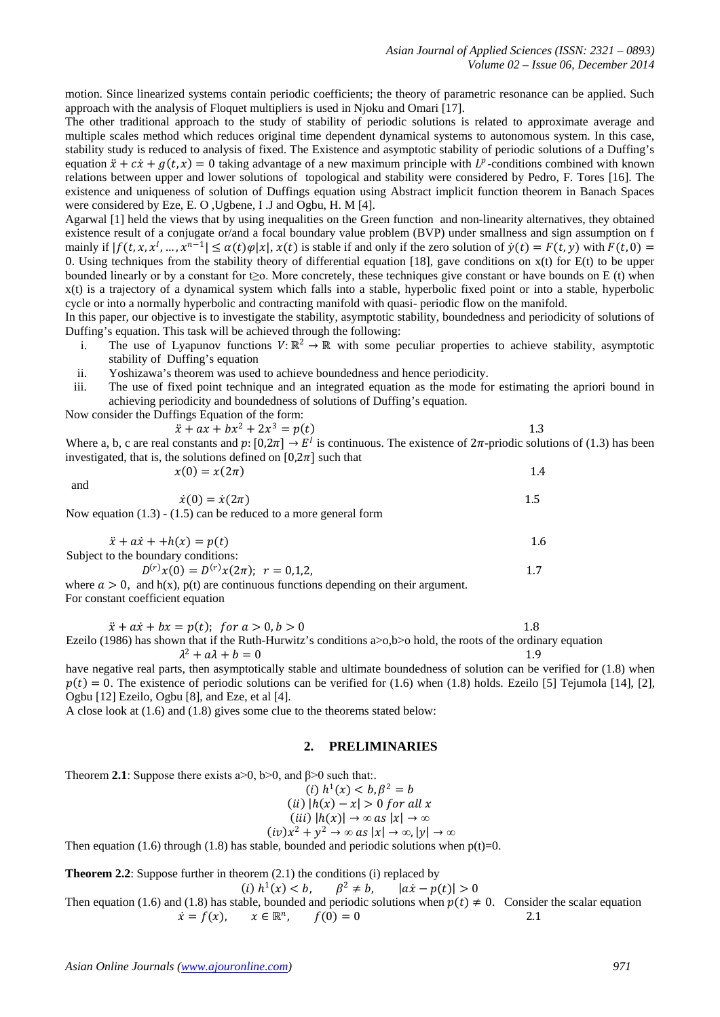motion. Since linearized systems contain periodic coefficients; the theory of parametric resonance can be applied. Such approach with the analysis of Floquet multipliers is used in Njoku and Omari [17].

The other traditional approach to the study of stability of periodic solutions is related to approximate average and multiple scales method which reduces original time dependent dynamical systems to autonomous system. In this case, stability study is reduced to analysis of fixed. The Existence and asymptotic stability of periodic solutions of a Duffing's equation  $\ddot{x} + c\dot{x} + g(t, x) = 0$  taking advantage of a new maximum principle with  $L^p$ -conditions combined with known relations between upper and lower solutions of topological and stability were considered by Pedro, F. Tores [16]. The existence and uniqueness of solution of Duffings equation using Abstract implicit function theorem in Banach Spaces were considered by Eze, E. O ,Ugbene, I .J and Ogbu, H. M [4].

Agarwal [1] held the views that by using inequalities on the Green function and non-linearity alternatives, they obtained existence result of a conjugate or/and a focal boundary value problem (BVP) under smallness and sign assumption on f mainly if  $|f(t, x, x^1, ..., x^{n-1}| \leq \alpha(t)\varphi|x|, x(t)$  is stable if and only if the zero solution of  $\dot{y}(t) = F(t, y)$  with  $F(t, 0) =$ 0. Using techniques from the stability theory of differential equation [18], gave conditions on  $x(t)$  for  $E(t)$  to be upper bounded linearly or by a constant for t≥o. More concretely, these techniques give constant or have bounds on E (t) when x(t) is a trajectory of a dynamical system which falls into a stable, hyperbolic fixed point or into a stable, hyperbolic cycle or into a normally hyperbolic and contracting manifold with quasi- periodic flow on the manifold.

In this paper, our objective is to investigate the stability, asymptotic stability, boundedness and periodicity of solutions of Duffing's equation. This task will be achieved through the following:

- i. The use of Lyapunov functions  $V: \mathbb{R}^2 \to \mathbb{R}$  with some peculiar properties to achieve stability, asymptotic stability of Duffing's equation
- ii. Yoshizawa's theorem was used to achieve boundedness and hence periodicity.
- iii. The use of fixed point technique and an integrated equation as the mode for estimating the apriori bound in achieving periodicity and boundedness of solutions of Duffing's equation.

Now consider the Duffings Equation of the form:

and

$$
\ddot{x} + ax + bx^2 + 2x^3 = p(t) \tag{1.3}
$$

Where a, b, c are real constants and  $p: [0,2\pi] \to E^l$  is continuous. The existence of  $2\pi$ -priodic solutions of (1.3) has been investigated, that is, the solutions defined on  $[0,2\pi]$  such that  $x(0) = x(2\pi)$  1.4

 $\dot{x}(0) = \dot{x}(2\pi)$  1.5 Now equation (1.3) - (1.5) can be reduced to a more general form

$$
\ddot{x} + a\dot{x} + h(x) = p(t)
$$
  
Subject to the boundary conditions:  

$$
D^{(r)}x(0) = D^{(r)}x(2\pi); \quad r = 0,1,2,
$$

where  $a > 0$ , and h(x), p(t) are continuous functions depending on their argument. For constant coefficient equation

| $\ddot{x} + a\dot{x} + b\dot{x} = p(t);$ for $a > 0, b > 0$                                                              |  |
|--------------------------------------------------------------------------------------------------------------------------|--|
| Ezeilo (1986) has shown that if the Ruth-Hurwitz's conditions $a > 0$ , b $> 0$ hold, the roots of the ordinary equation |  |
| $\lambda^2 + a\lambda + b = 0$                                                                                           |  |

have negative real parts, then asymptotically stable and ultimate boundedness of solution can be verified for (1.8) when  $p(t) = 0$ . The existence of periodic solutions can be verified for (1.6) when (1.8) holds. Ezeilo [5] Tejumola [14], [2], Ogbu [12] Ezeilo, Ogbu [8], and Eze, et al [4].

A close look at (1.6) and (1.8) gives some clue to the theorems stated below:

## **2. PRELIMINARIES**

Theorem **2.1**: Suppose there exists  $a > 0$ ,  $b > 0$ , and  $\beta > 0$  such that:.

$$
(i) h1(x) < b, \beta2 = b
$$
  
(ii)  $|h(x) - x| > 0$  for all x  
(iii)  $|h(x)| \rightarrow \infty$  as  $|x| \rightarrow \infty$ 

$$
(iv)x^2 + y^2 \rightarrow \infty \text{ as } |x| \rightarrow \infty, |y| \rightarrow \infty
$$

Then equation (1.6) through (1.8) has stable, bounded and periodic solutions when  $p(t)=0$ .

**Theorem 2.2**: Suppose further in theorem (2.1) the conditions (i) replaced by

(i) 
$$
h^1(x) < b
$$
,  $\beta^2 \neq b$ ,  $|ax - p(t)| > 0$ 

Then equation (1.6) and (1.8) has stable, bounded and periodic solutions when  $p(t) \neq 0$ . Consider the scalar equation  $\dot{x} = f(x)$ ,  $x \in \mathbb{R}^n$ ,  $f(0) = 0$  2.1  $\dot{x} = f(x)$ ,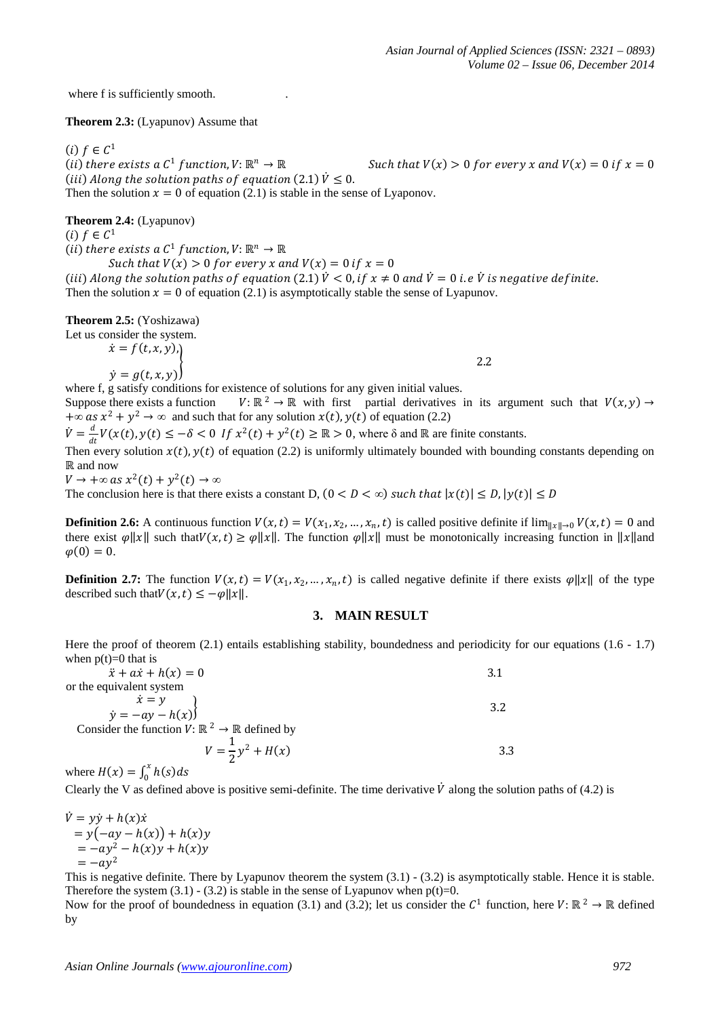where f is sufficiently smooth.

**Theorem 2.3:** (Lyapunov) Assume that

(*i*)  $f \in C^1$ <br>(*ii*) there exists a  $C^1$  function,  $V: \mathbb{R}^n \to \mathbb{R}$ Such that  $V(x) > 0$  for every x and  $V(x) = 0$  if  $x = 0$ (*iii*) Along the solution paths of equation (2.1)  $\dot{V} \leq 0$ . Then the solution  $x = 0$  of equation (2.1) is stable in the sense of Lyaponov.

**Theorem 2.4:** (Lyapunov)

 $(i)$   $f \in \mathcal{C}^1$ 

(*ii*) there exists a  $C^1$  function,  $V: \mathbb{R}^n \to \mathbb{R}$ Such that  $V(x) > 0$  for every x and  $V(x) = 0$  if  $x = 0$ 

(iii) Along the solution paths of equation (2.1)  $\dot{V} < 0$ , if  $x \neq 0$  and  $\dot{V} = 0$  i. e  $\dot{V}$  is negative definite. Then the solution  $x = 0$  of equation (2.1) is asymptotically stable the sense of Lyapunov.

**Theorem 2.5:** (Yoshizawa)

Let us consider the system.  $\dot{x} = f(t, x, y),$ 

 $\dot{y} = g(t, x, y)$ 

 $\left\{\n \begin{array}{ccc}\n 2.2 & \end{array}\n \right\}$ 

where f, g satisfy conditions for existence of solutions for any given initial values.<br>Suppose there exists a function  $V: \mathbb{R}^2 \to \mathbb{R}$  with first partial derivatives  $V: \mathbb{R}^2 \to \mathbb{R}$  with first partial derivatives in its argument such that  $V(x, y) \to$  $+\infty$  as  $x^2 + y^2 \to \infty$  and such that for any solution  $x(t)$ ,  $y(t)$  of equation (2.2)

 $\dot{V} = \frac{d}{dt} V(x(t), y(t)) \leq -\delta < 0$  If  $x^2(t) + y^2(t) \geq \mathbb{R} > 0$ , where  $\delta$  and  $\mathbb{R}$  are finite constants.

Then every solution  $x(t)$ ,  $y(t)$  of equation (2.2) is uniformly ultimately bounded with bounding constants depending on ℝ and now

 $V \rightarrow +\infty$  as  $x^2(t) + y^2(t) \rightarrow \infty$ 

The conclusion here is that there exists a constant D,  $(0 < D < \infty)$  such that  $|x(t)| \le D$ ,  $|y(t)| \le D$ 

**Definition 2.6:** A continuous function  $V(x,t) = V(x_1, x_2, ..., x_n, t)$  is called positive definite if  $\lim_{\|x\| \to 0} V(x,t) = 0$  and there exist  $\varphi ||x||$  such that  $V(x,t) \ge \varphi ||x||$ . The function  $\varphi ||x||$  must be monotonically increasing function in ||x||and  $\varphi(0) = 0.$ 

**Definition 2.7:** The function  $V(x,t) = V(x_1, x_2, ..., x_n, t)$  is called negative definite if there exists  $\varphi ||x||$  of the type described such that  $V(x, t) \leq -\varphi ||x||$ .

## **3. MAIN RESULT**

Here the proof of theorem (2.1) entails establishing stability, boundedness and periodicity for our equations (1.6 - 1.7) when  $p(t)=0$  that is

 $\ddot{x} + a\dot{x} + h(x) = 0$  3.1 or the equivalent system

 $\dot{x} = y$  $\dot{y} = -ay - h(x)$  $\left\{\n \begin{array}{ccc}\n 3.2 & \n \end{array}\n \right.$ Consider the function  $V: \mathbb{R}^2 \to \mathbb{R}$  defined by

$$
V = \frac{1}{2}y^2 + H(x)
$$
 3.3

where  $H(x) = \int_0^x h(s) ds$ 

Clearly the V as defined above is positive semi-definite. The time derivative  $\dot{V}$  along the solution paths of (4.2) is

 $\dot{V} = v\dot{v} + h(x)\dot{x}$  $= y(-ay - h(x)) + h(x)y$  $= -ay^2 - h(x)y + h(x)y$  $=-ay^2$ 

This is negative definite. There by Lyapunov theorem the system (3.1) - (3.2) is asymptotically stable. Hence it is stable. Therefore the system  $(3.1) - (3.2)$  is stable in the sense of Lyapunov when  $p(t)=0$ .

Now for the proof of boundedness in equation (3.1) and (3.2); let us consider the  $C^1$  function, here  $V: \mathbb{R}^2 \to \mathbb{R}$  defined by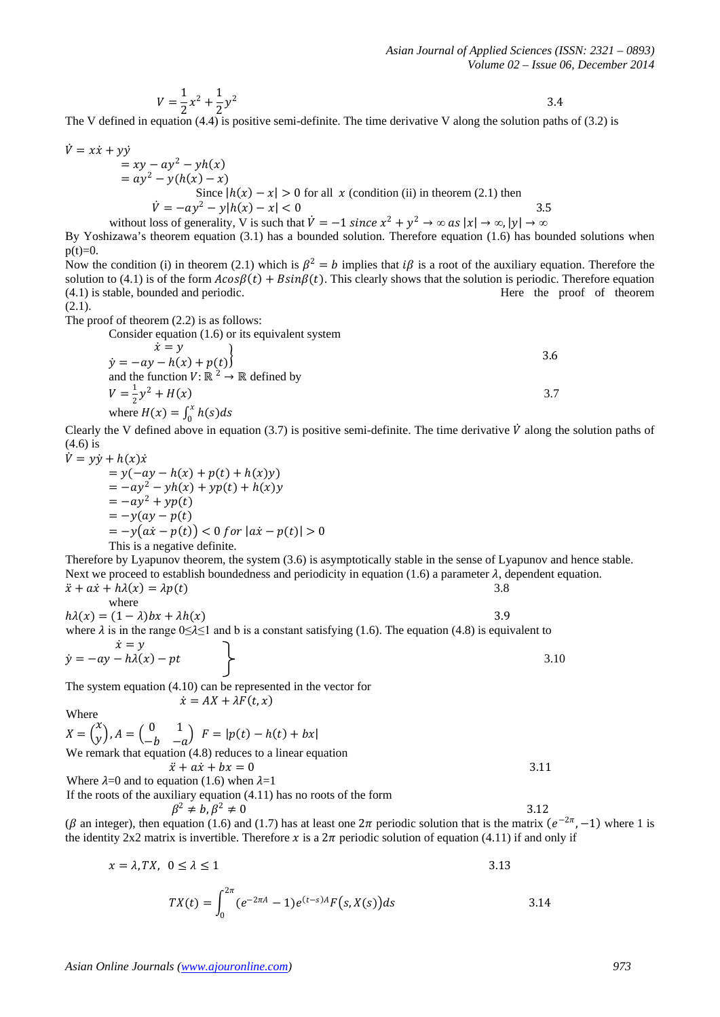$$
V = \frac{1}{2}x^2 + \frac{1}{2}y^2
$$

 $V = \frac{1}{2}x^2 + \frac{1}{2}y^2$  3.4<br>The V defined in equation (4.4) is positive semi-definite. The time derivative V along the solution paths of (3.2) is

$$
\dot{V} = x\dot{x} + y\dot{y}
$$

$$
= xy - ay2 - yh(x)
$$
  
= ay<sup>2</sup> - y(h(x) - x)  
Since |h(x) - x| > 0 for all x (condition (ii) in theorem (2.1) then  

$$
\dot{V} = -ay2 - y|h(x) - x| < 0
$$

without loss of generality, V is such that 
$$
\dot{V} = -1
$$
 since  $x^2 + y^2 \rightarrow \infty$  as  $|x| \rightarrow \infty$ ,  $|y| \rightarrow \infty$ 

By Yoshizawa's theorem equation (3.1) has a bounded solution. Therefore equation (1.6) has bounded solutions when  $p(t)=0$ .

Now the condition (i) in theorem (2.1) which is  $\beta^2 = b$  implies that i $\beta$  is a root of the auxiliary equation. Therefore the solution to (4.1) is of the form  $A\cos\beta(t) + B\sin\beta(t)$ . This clearly shows that the solution is periodic. Therefore equation (4.1) is stable, bounded and periodic.  $(4.1)$  is stable, bounded and periodic.

 $(2.1).$ 

The proof of theorem (2.2) is as follows:

Consider equation (1.6) or its equivalent system  
\n
$$
\begin{aligned}\n\dot{x} &= y \\
\dot{y} &= -ay - h(x) + p(t)\n\end{aligned}
$$
\nand the function  $V : \mathbb{R}^2 \to \mathbb{R}$  defined by  
\n
$$
V = \frac{1}{2}y^2 + H(x)
$$
\nwhere  $H(x) = \int_0^x h(s)ds$ 

Clearly the V defined above in equation (3.7) is positive semi-definite. The time derivative  $\dot{V}$  along the solution paths of (4.6) is

$$
\dot{V} = y\dot{y} + h(x)\dot{x}
$$
\n
$$
= y(-ay - h(x) + p(t) + h(x)y)
$$
\n
$$
= -ay^2 - yh(x) + yp(t) + h(x)y
$$
\n
$$
= -ay^2 + yp(t)
$$
\n
$$
= -y(ay - p(t))
$$
\n
$$
= -y(a\dot{x} - p(t)) < 0 \text{ for } |a\dot{x} - p(t)| > 0
$$
\nThis is a negative definite.

Therefore by Lyapunov theorem, the system (3.6) is asymptotically stable in the sense of Lyapunov and hence stable. Next we proceed to establish boundedness and periodicity in equation (1.6) a parameter  $\lambda$ , dependent equation.<br>  $\ddot{x} + a\dot{x} + h\lambda(x) = \lambda p(t)$  $\ddot{x} + a\dot{x} + h\lambda(x) = \lambda p(t)$ 

where  
\n
$$
h\lambda(x) = (1 - \lambda)bx + \lambda h(x)
$$
\nwhere  $\lambda$  is in the range  $0 \le \lambda \le 1$  and b is a constant satisfying (1.6). The equation (4.8) is equivalent to  
\n
$$
\dot{x} = y
$$

 $\dot{y} = -ay - h\lambda(x) - pt$  3.10

The system equation (4.10) can be represented in the vector for  $\dot{x} = AX + \lambda F(t, x)$ 

Where

$$
X = \begin{pmatrix} x \\ y \end{pmatrix}, A = \begin{pmatrix} 0 & 1 \\ -b & -a \end{pmatrix}, F = |p(t) - h(t) + bx|
$$
  
We remark that equation (4.8) reduces to a linear equation

 $\ddot{x} + a\dot{x} + b x = 0$  3.11

Where  $\lambda=0$  and to equation (1.6) when  $\lambda=1$ 

If the roots of the auxiliary equation (4.11) has no roots of the form  $\beta^2 \neq b, \beta^2 \neq 0$ 

 $\beta^2 \neq b, \beta^2 \neq 0$  3.12 ( $\beta$  an integer), then equation (1.6) and (1.7) has at least one  $2\pi$  periodic solution that is the matrix  $(e^{-2\pi}, -1)$  where 1 is the identity 2x2 matrix is invertible. Therefore x is a  $2\pi$  periodic solution of equation (4.11) if and only if

$$
x = \lambda, TX, \quad 0 \le \lambda \le 1
$$

$$
TX(t) = \int_0^{2\pi} (e^{-2\pi A} - 1)e^{(t-s)A} F(s, X(s)) ds
$$
 3.14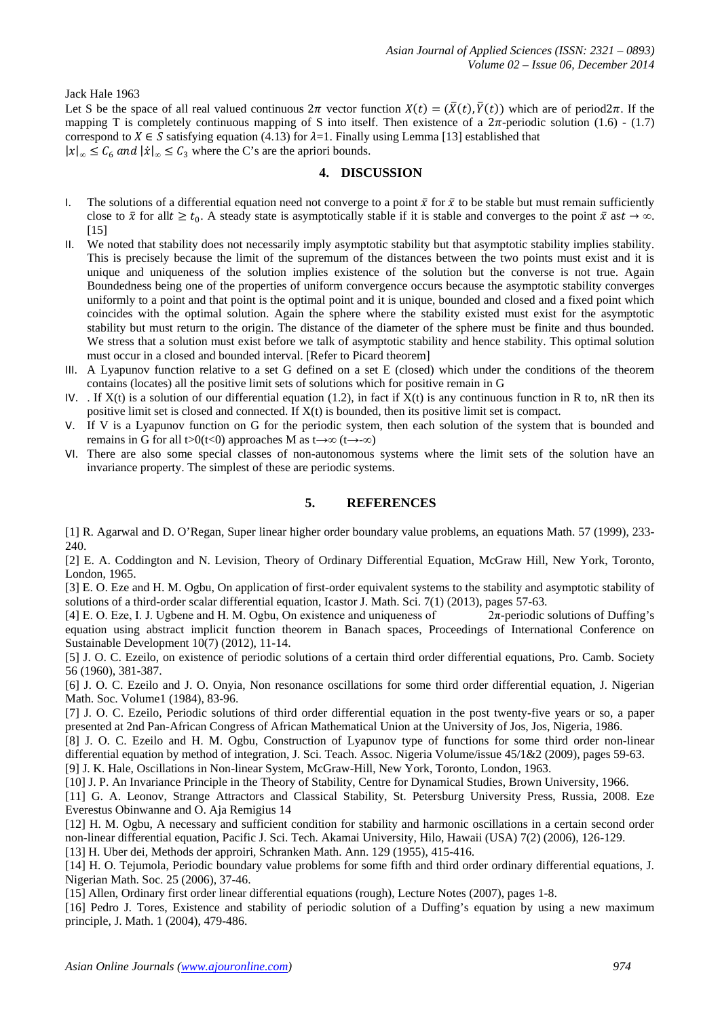#### Jack Hale 1963

Let S be the space of all real valued continuous  $2\pi$  vector function  $X(t) = (\bar{X}(t), \bar{Y}(t))$  which are of period2 $\pi$ . If the mapping T is completely continuous mapping of S into itself. Then existence of a  $2\pi$ -periodic solution (1.6) - (1.7) correspond to  $X \in S$  satisfying equation (4.13) for  $\lambda=1$ . Finally using Lemma [13] established that  $|x|_{\infty} \leq C_6$  *and*  $|\dot{x}|_{\infty} \leq C_3$  where the C's are the apriori bounds.

#### **4. DISCUSSION**

- I. The solutions of a differential equation need not converge to a point  $\bar{x}$  for  $\bar{x}$  to be stable but must remain sufficiently close to  $\bar{x}$  for all  $t \geq t_0$ . A steady state is asymptotically stable if it is stable and converges to the point  $\bar{x}$  as  $t \to \infty$ . [15]
- II. We noted that stability does not necessarily imply asymptotic stability but that asymptotic stability implies stability. This is precisely because the limit of the supremum of the distances between the two points must exist and it is unique and uniqueness of the solution implies existence of the solution but the converse is not true. Again Boundedness being one of the properties of uniform convergence occurs because the asymptotic stability converges uniformly to a point and that point is the optimal point and it is unique, bounded and closed and a fixed point which coincides with the optimal solution. Again the sphere where the stability existed must exist for the asymptotic stability but must return to the origin. The distance of the diameter of the sphere must be finite and thus bounded. We stress that a solution must exist before we talk of asymptotic stability and hence stability. This optimal solution must occur in a closed and bounded interval. [Refer to Picard theorem]
- III. A Lyapunov function relative to a set G defined on a set E (closed) which under the conditions of the theorem contains (locates) all the positive limit sets of solutions which for positive remain in G
- IV. If  $X(t)$  is a solution of our differential equation (1.2), in fact if  $X(t)$  is any continuous function in R to, nR then its positive limit set is closed and connected. If X(t) is bounded, then its positive limit set is compact.
- V. If V is a Lyapunov function on G for the periodic system, then each solution of the system that is bounded and remains in G for all t>0(t<0) approaches M as t→∞ (t→-∞)
- VI. There are also some special classes of non-autonomous systems where the limit sets of the solution have an invariance property. The simplest of these are periodic systems.

## **5. REFERENCES**

[1] R. Agarwal and D. O'Regan, Super linear higher order boundary value problems, an equations Math. 57 (1999), 233- 240.

[2] E. A. Coddington and N. Levision, Theory of Ordinary Differential Equation, McGraw Hill, New York, Toronto, London, 1965.

[3] E. O. Eze and H. M. Ogbu, On application of first-order equivalent systems to the stability and asymptotic stability of solutions of a third-order scalar differential equation, Icastor J. Math. Sci. 7(1) (2013), pages 57-63.

[4] E. O. Eze, I. J. Ugbene and H. M. Ogbu, On existence and uniqueness of 2π-periodic solutions of Duffing's equation using abstract implicit function theorem in Banach spaces, Proceedings of International Conference on Sustainable Development 10(7) (2012), 11-14.

[5] J. O. C. Ezeilo, on existence of periodic solutions of a certain third order differential equations, Pro. Camb. Society 56 (1960), 381-387.

[6] J. O. C. Ezeilo and J. O. Onyia, Non resonance oscillations for some third order differential equation, J. Nigerian Math. Soc. Volume1 (1984), 83-96.

[7] J. O. C. Ezeilo, Periodic solutions of third order differential equation in the post twenty-five years or so, a paper presented at 2nd Pan-African Congress of African Mathematical Union at the University of Jos, Jos, Nigeria, 1986.

[8] J. O. C. Ezeilo and H. M. Ogbu, Construction of Lyapunov type of functions for some third order non-linear differential equation by method of integration, J. Sci. Teach. Assoc. Nigeria Volume/issue 45/1&2 (2009), pages 59-63. [9] J. K. Hale, Oscillations in Non-linear System, McGraw-Hill, New York, Toronto, London, 1963.

[10] J. P. An Invariance Principle in the Theory of Stability, Centre for Dynamical Studies, Brown University, 1966.

[11] G. A. Leonov, Strange Attractors and Classical Stability, St. Petersburg University Press, Russia, 2008. Eze Everestus Obinwanne and O. Aja Remigius 14

[12] H. M. Ogbu, A necessary and sufficient condition for stability and harmonic oscillations in a certain second order non-linear differential equation, Pacific J. Sci. Tech. Akamai University, Hilo, Hawaii (USA) 7(2) (2006), 126-129.

[13] H. Uber dei, Methods der approiri, Schranken Math. Ann. 129 (1955), 415-416.

[14] H. O. Tejumola, Periodic boundary value problems for some fifth and third order ordinary differential equations, J. Nigerian Math. Soc. 25 (2006), 37-46.

[15] Allen, Ordinary first order linear differential equations (rough), Lecture Notes (2007), pages 1-8.

[16] Pedro J. Tores, Existence and stability of periodic solution of a Duffing's equation by using a new maximum principle, J. Math. 1 (2004), 479-486.